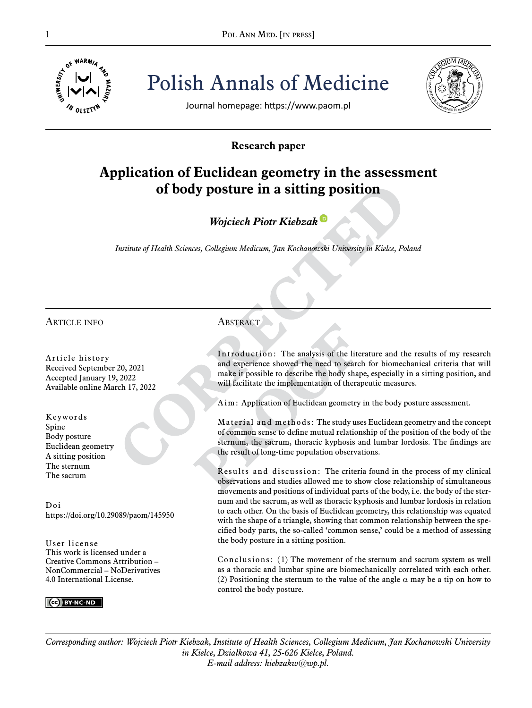

Pol ANN MED. [IN PRESS]<br>  $\frac{1}{\frac{1}{2} \sum_{i=1}^{N} |V|}$ <sup>4</sup>/<sub>4</sub><br>  $\frac{1}{2}$ <br>  $\frac{1}{2}$ <br>  $\frac{1}{2}$ <br>  $\frac{1}{2}$ <br>  $\frac{1}{2}$ <br>  $\frac{1}{2}$ <br>  $\frac{1}{2}$ <br>  $\frac{1}{2}$ <br>  $\frac{1}{2}$ <br>  $\frac{1}{2}$ Polish Annals of Medicine



Journal homepage: https://www.paom.pl

# **Research paper**

# **Application of Euclidean geometry in the assessment of body posture in a sitting position**

*Wojciech Piotr Kiebza[k](https://orcid.org/0000-0001-6035-6568)*

*Institute of Health Sciences, Collegium Medicum, Jan Kochanowski University in Kielce, Poland*

# Article info

Article history Received September 20, 2021 Accepted January 19, 2022 Available online March 17, 2022

Keywords Spine Body posture Euclidean geometry A sitting position The sternum The sacrum

Doi https://doi.org/10.29089/paom/145950

User license This work is licensed under a Creative Commons Attribution – NonCommercial – NoDerivatives 4.0 International License.

## $\left( \text{cc} \right)$  BY-NC-ND

# **ABSTRACT**

Introduction: The analysis of the literature and the results of my research and experience showed the need to search for biomechanical criteria that will make it possible to describe the body shape, especially in a sitting position, and will facilitate the implementation of therapeutic measures.

Aim: Application of Euclidean geometry in the body posture assessment.

Material and methods: The study uses Euclidean geometry and the concept of common sense to define mutual relationship of the position of the body of the sternum, the sacrum, thoracic kyphosis and lumbar lordosis. The findings are the result of long-time population observations.

Results and discussion: The criteria found in the process of my clinical observations and studies allowed me to show close relationship of simultaneous movements and positions of individual parts of the body, i.e. the body of the sternum and the sacrum, as well as thoracic kyphosis and lumbar lordosis in relation to each other. On the basis of Euclidean geometry, this relationship was equated with the shape of a triangle, showing that common relationship between the specified body parts, the so-called 'common sense,' could be a method of assessing the body posture in a sitting position.

Conclusions: (1) The movement of the sternum and sacrum system as well as a thoracic and lumbar spine are biomechanically correlated with each other. (2) Positioning the sternum to the value of the angle  $\alpha$  may be a tip on how to control the body posture.

*Corresponding author: Wojciech Piotr Kiebzak, Institute of Health Sciences, Collegium Medicum, Jan Kochanowski University in Kielce, Działkowa 41, 25-626 Kielce, Poland. E-mail address: kiebzakw@wp.pl.*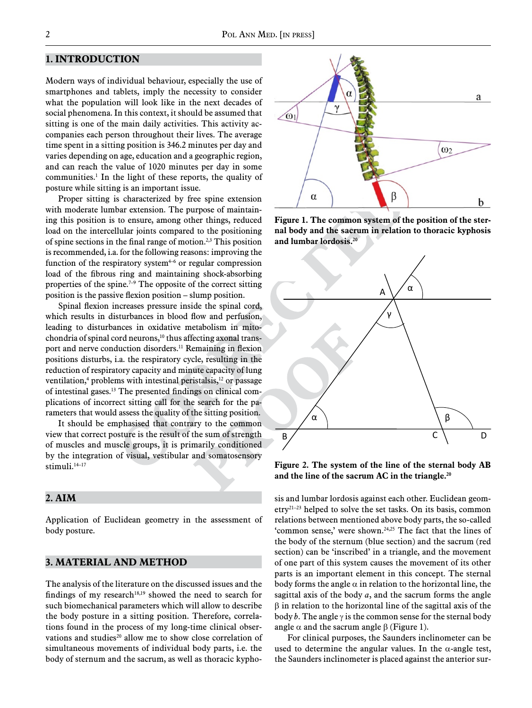## **1. Introduction**

Modern ways of individual behaviour, especially the use of smartphones and tablets, imply the necessity to consider what the population will look like in the next decades of social phenomena. In this context, it should be assumed that sitting is one of the main daily activities. This activity accompanies each person throughout their lives. The average time spent in a sitting position is 346.2 minutes per day and varies depending on age, education and a geographic region, and can reach the value of 1020 minutes per day in some communities.<sup>1</sup> In the light of these reports, the quality of posture while sitting is an important issue.

Proper sitting is characterized by free spine extension with moderate lumbar extension. The purpose of maintaining this position is to ensure, among other things, reduced load on the intercellular joints compared to the positioning of spine sections in the final range of motion.2,3 This position is recommended, i.a. for the following reasons: improving the function of the respiratory system $4-6$  or regular compression load of the fibrous ring and maintaining shock-absorbing properties of the spine.<sup>7-9</sup> The opposite of the correct sitting position is the passive flexion position – slump position.

Spinal flexion increases pressure inside the spinal cord, which results in disturbances in blood flow and perfusion, leading to disturbances in oxidative metabolism in mitochondria of spinal cord neurons,10 thus affecting axonal transport and nerve conduction disorders.11 Remaining in flexion positions disturbs, i.a. the respiratory cycle, resulting in the reduction of respiratory capacity and minute capacity of lung ventilation,<sup>4</sup> problems with intestinal peristalsis,<sup>12</sup> or passage of intestinal gases.13 The presented findings on clinical complications of incorrect sitting call for the search for the parameters that would assess the quality of the sitting position.

It should be emphasised that contrary to the common view that correct posture is the result of the sum of strength of muscles and muscle groups, it is primarily conditioned by the integration of visual, vestibular and somatosensory stimuli.<sup>14-17</sup>

# **2. Aim**

Application of Euclidean geometry in the assessment of body posture.

# **3. Material and method**

The analysis of the literature on the discussed issues and the findings of my research $18,19$  showed the need to search for such biomechanical parameters which will allow to describe the body posture in a sitting position. Therefore, correlations found in the process of my long-time clinical observations and studies<sup>20</sup> allow me to show close correlation of simultaneous movements of individual body parts, i.e. the body of sternum and the sacrum, as well as thoracic kypho-



**Figure 1. The common system of the position of the sternal body and the sacrum in relation to thoracic kyphosis and lumbar lordosis.20**



**Figure 2. The system of the line of the sternal body AB and the line of the sacrum AC in the triangle.20**

sis and lumbar lordosis against each other. Euclidean geom- $\text{etry}^{21-23}$  helped to solve the set tasks. On its basis, common relations between mentioned above body parts, the so-called 'common sense,' were shown.24,25 The fact that the lines of the body of the sternum (blue section) and the sacrum (red section) can be 'inscribed' in a triangle, and the movement of one part of this system causes the movement of its other parts is an important element in this concept. The sternal body forms the angle  $\alpha$  in relation to the horizontal line, the sagittal axis of the body *a*, and the sacrum forms the angle β in relation to the horizontal line of the sagittal axis of the body *b*. The angle  $\gamma$  is the common sense for the sternal body angle  $\alpha$  and the sacrum angle  $\beta$  (Figure 1).

For clinical purposes, the Saunders inclinometer can be used to determine the angular values. In the  $\alpha$ -angle test, the Saunders inclinometer is placed against the anterior sur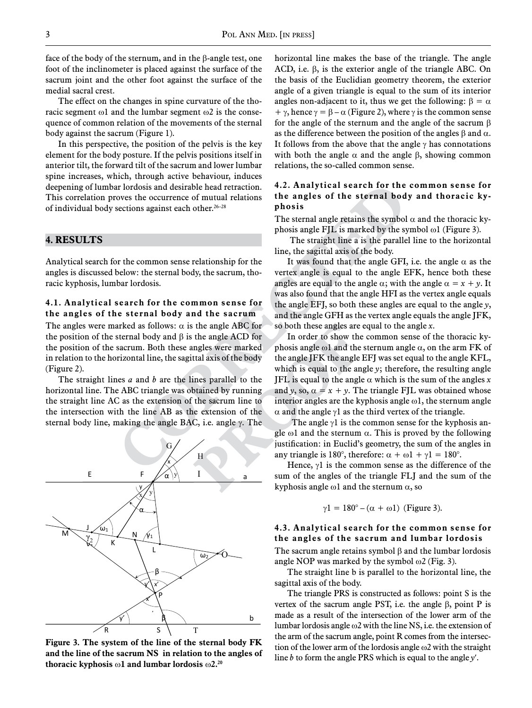face of the body of the sternum, and in the β-angle test, one foot of the inclinometer is placed against the surface of the sacrum joint and the other foot against the surface of the medial sacral crest.

The effect on the changes in spine curvature of the thoracic segment  $\omega$ 1 and the lumbar segment  $\omega$ 2 is the consequence of common relation of the movements of the sternal body against the sacrum (Figure 1).

In this perspective, the position of the pelvis is the key element for the body posture. If the pelvis positions itself in anterior tilt, the forward tilt of the sacrum and lower lumbar spine increases, which, through active behaviour, induces deepening of lumbar lordosis and desirable head retraction. This correlation proves the occurrence of mutual relations of individual body sections against each other.<sup>26-28</sup>

#### **4. Results**

Analytical search for the common sense relationship for the angles is discussed below: the sternal body, the sacrum, thoracic kyphosis, lumbar lordosis.

#### **4.1. Analytical search for the common sense for the angles of the sternal body and the sacrum**

The angles were marked as follows:  $\alpha$  is the angle ABC for the position of the sternal body and β is the angle ACD for the position of the sacrum. Both these angles were marked in relation to the horizontal line, the sagittal axis of the body (Figure 2).

The straight lines *a* and *b* are the lines parallel to the horizontal line. The ABC triangle was obtained by running the straight line AC as the extension of the sacrum line to the intersection with the line AB as the extension of the sternal body line, making the angle BAC, i.e. angle γ. The



**Figure 3. The system of the line of the sternal body FK and the line of the sacrum NS in relation to the angles of thoracic kyphosis** ω**1 and lumbar lordosis** ω**2.20**

horizontal line makes the base of the triangle. The angle ACD, i.e. β, is the exterior angle of the triangle ABC. On the basis of the Euclidian geometry theorem, the exterior angle of a given triangle is equal to the sum of its interior angles non-adjacent to it, thus we get the following:  $\beta = \alpha$ + γ, hence  $\gamma = \beta - \alpha$  (Figure 2), where γ is the common sense for the angle of the sternum and the angle of the sacrum β as the difference between the position of the angles  $\beta$  and  $\alpha$ . It follows from the above that the angle  $\gamma$  has connotations with both the angle  $\alpha$  and the angle  $\beta$ , showing common relations, the so-called common sense.

## **4.2. Analytical search for the common sense for the angles of the sternal body and thoracic kyphosis**

The sternal angle retains the symbol  $\alpha$  and the thoracic kyphosis angle FJL is marked by the symbol  $\omega$ 1 (Figure 3).

 The straight line a is the parallel line to the horizontal line, the sagittal axis of the body.

It was found that the angle GFI, i.e. the angle  $\alpha$  as the vertex angle is equal to the angle EFK, hence both these angles are equal to the angle  $\alpha$ ; with the angle  $\alpha = x + y$ . It was also found that the angle HFI as the vertex angle equals the angle EFJ, so both these angles are equal to the angle *y*, and the angle GFH as the vertex angle equals the angle JFK, so both these angles are equal to the angle *x*.

In order to show the common sense of the thoracic kyphosis angle  $\omega$ 1 and the sternum angle  $\alpha$ , on the arm FK of the angle JFK the angle EFJ was set equal to the angle KFL, which is equal to the angle *y*; therefore, the resulting angle JFL is equal to the angle  $\alpha$  which is the sum of the angles x and *y*, so,  $\alpha = x + y$ . The triangle FJL was obtained whose interior angles are the kyphosis angle ω1, the sternum angle α and the angle γ1 as the third vertex of the triangle.

The angle  $\gamma$ 1 is the common sense for the kyphosis angle  $\omega$ l and the sternum  $\alpha$ . This is proved by the following justification: in Euclid's geometry, the sum of the angles in any triangle is 180°, therefore:  $\alpha + \omega l + \gamma l = 180$ °.

Hence,  $\gamma$ 1 is the common sense as the difference of the sum of the angles of the triangle FLJ and the sum of the kyphosis angle  $\omega$ 1 and the sternum  $\alpha$ , so

$$
\gamma 1 = 180^{\circ} - (\alpha + \omega 1)
$$
 (Figure 3).

# **4.3. Analytical search for the common sense for the angles of the sacrum and lumbar lordosis**

The sacrum angle retains symbol β and the lumbar lordosis angle NOP was marked by the symbol  $\omega$ 2 (Fig. 3).

The straight line b is parallel to the horizontal line, the sagittal axis of the body.

The triangle PRS is constructed as follows: point S is the vertex of the sacrum angle PST, i.e. the angle β, point P is made as a result of the intersection of the lower arm of the lumbar lordosis angle ω2 with the line NS, i.e. the extension of the arm of the sacrum angle, point R comes from the intersection of the lower arm of the lordosis angle ω2 with the straight line *b* to form the angle PRS which is equal to the angle *y*′.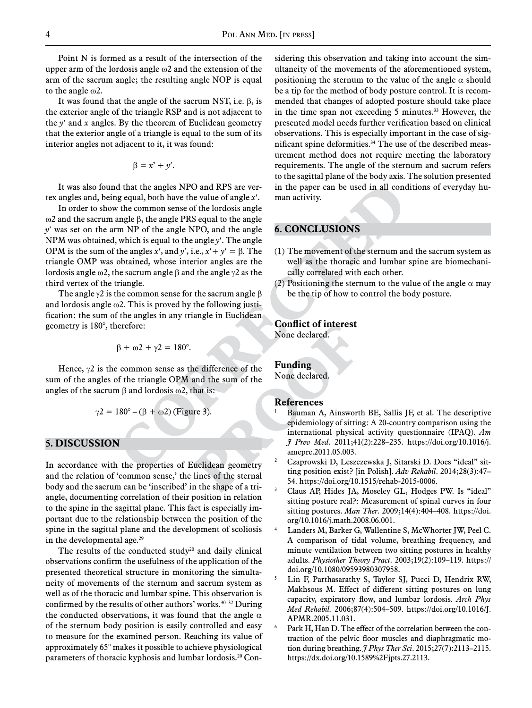Point N is formed as a result of the intersection of the upper arm of the lordosis angle ω2 and the extension of the arm of the sacrum angle; the resulting angle NOP is equal to the angle ω2.

It was found that the angle of the sacrum NST, i.e.  $\beta$ , is the exterior angle of the triangle RSP and is not adjacent to the *y*′ and *x* angles. By the theorem of Euclidean geometry that the exterior angle of a triangle is equal to the sum of its interior angles not adjacent to it, it was found:

$$
\beta = x' + y'.
$$

It was also found that the angles NPO and RPS are vertex angles and, being equal, both have the value of angle *x*′.

In order to show the common sense of the lordosis angle ω2 and the sacrum angle β, the angle PRS equal to the angle *y*′ was set on the arm NP of the angle NPO, and the angle NPM was obtained, which is equal to the angle *y*′. The angle OPM is the sum of the angles *x'*, and *y'*, i.e.,  $x' + y' = \beta$ . The triangle OMP was obtained, whose interior angles are the lordosis angle ω2, the sacrum angle β and the angle γ2 as the third vertex of the triangle.

The angle  $\gamma$ 2 is the common sense for the sacrum angle  $\beta$ and lordosis angle  $\omega$ 2. This is proved by the following justification: the sum of the angles in any triangle in Euclidean geometry is 180°, therefore:

$$
\beta+\omega 2+\gamma 2=180^\circ.
$$

Hence,  $\gamma$ 2 is the common sense as the difference of the sum of the angles of the triangle OPM and the sum of the angles of the sacrum  $\beta$  and lordosis  $\omega$ 2, that is:

$$
\gamma 2 = 180^\circ - (\beta + \omega 2)
$$
 (Figure 3).

#### **5. Discussion**

In accordance with the properties of Euclidean geometry and the relation of 'common sense,' the lines of the sternal body and the sacrum can be 'inscribed' in the shape of a triangle, documenting correlation of their position in relation to the spine in the sagittal plane. This fact is especially important due to the relationship between the position of the spine in the sagittal plane and the development of scoliosis in the developmental age. $29$ 

The results of the conducted study $20$  and daily clinical observations confirm the usefulness of the application of the presented theoretical structure in monitoring the simultaneity of movements of the sternum and sacrum system as well as of the thoracic and lumbar spine. This observation is confirmed by the results of other authors' works. $30-32$  During the conducted observations, it was found that the angle  $\alpha$ of the sternum body position is easily controlled and easy to measure for the examined person. Reaching its value of approximately 65° makes it possible to achieve physiological parameters of thoracic kyphosis and lumbar lordosis.20 Considering this observation and taking into account the simultaneity of the movements of the aforementioned system, positioning the sternum to the value of the angle  $\alpha$  should be a tip for the method of body posture control. It is recommended that changes of adopted posture should take place in the time span not exceeding 5 minutes.<sup>33</sup> However, the presented model needs further verification based on clinical observations. This is especially important in the case of significant spine deformities.34 The use of the described measurement method does not require meeting the laboratory requirements. The angle of the sternum and sacrum refers to the sagittal plane of the body axis. The solution presented in the paper can be used in all conditions of everyday human activity.

## **6. Conclusions**

- (1) The movement of the sternum and the sacrum system as well as the thoracic and lumbar spine are biomechanically correlated with each other.
- (2) Positioning the sternum to the value of the angle  $\alpha$  may be the tip of how to control the body posture.

## **Conflict of interest**

None declared.

#### **Funding**

None declared.

#### **References**

- Bauman A, Ainsworth BE, Sallis JF, et al. The descriptive epidemiology of sitting: A 20-country comparison using the international physical activity questionnaire (IPAQ). *Am J Prev Med*. 2011;41(2):228–235. https://doi.org/10.1016/j. amepre.2011.05.003.
- <sup>2</sup> Czaprowski D, Leszczewska J, Sitarski D. Does "ideal" sitting position exist? [in Polish]. *Adv Rehabil*. 2014;28(3):47– 54. https://doi.org/10.1515/rehab-2015-0006.
- <sup>3</sup> Claus AP, Hides JA, Moseley GL, Hodges PW. Is "ideal" sitting posture real?: Measurement of spinal curves in four sitting postures. *Man Ther*. 2009;14(4):404–408. https://doi. org/10.1016/j.math.2008.06.001.
- Landers M, Barker G, Wallentine S, McWhorter JW, Peel C. A comparison of tidal volume, breathing frequency, and minute ventilation between two sitting postures in healthy adults. *Physiother Theory Pract*. 2003;19(2):109–119. https:// doi.org/10.1080/09593980307958.
- <sup>5</sup> Lin F, Parthasarathy S, Taylor SJ, Pucci D, Hendrix RW, Makhsous M. Effect of different sitting postures on lung capacity, expiratory flow, and lumbar lordosis. *Arch Phys Med Rehabil.* 2006;87(4):504–509. https://doi.org/10.1016/J. APMR.2005.11.031.
- Park H, Han D. The effect of the correlation between the contraction of the pelvic floor muscles and diaphragmatic motion during breathing. *J Phys Ther Sci*. 2015;27(7):2113–2115. https://dx.doi.org/10.1589%2Fjpts.27.2113.